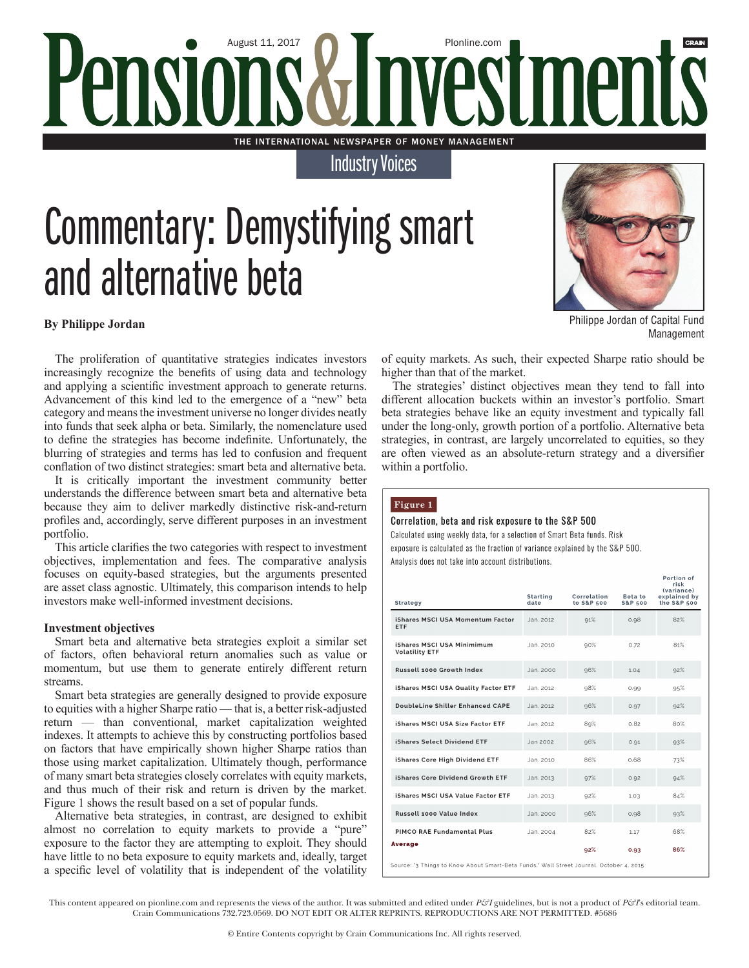### August 11, 2017 PIonline.com **Pensic** A THE INTERNATIONAL NEWSPAPER OF MONEY MANAGEMENT

Industry Voices

## Commentary: Demystifying smart and alternative beta



Philippe Jordan of Capital Fund Management

#### **By Philippe Jordan**

The proliferation of quantitative strategies indicates investors increasingly recognize the benefits of using data and technology and applying a scientific investment approach to generate returns. Advancement of this kind led to the emergence of a "new" beta category and means the investment universe no longer divides neatly into funds that seek alpha or beta. Similarly, the nomenclature used to define the strategies has become indefinite. Unfortunately, the blurring of strategies and terms has led to confusion and frequent conflation of two distinct strategies: smart beta and alternative beta.

It is critically important the investment community better understands the difference between smart beta and alternative beta because they aim to deliver markedly distinctive risk-and-return profiles and, accordingly, serve different purposes in an investment portfolio.

This article clarifies the two categories with respect to investment objectives, implementation and fees. The comparative analysis focuses on equity-based strategies, but the arguments presented are asset class agnostic. Ultimately, this comparison intends to help investors make well-informed investment decisions.

#### **Investment objectives**

Smart beta and alternative beta strategies exploit a similar set of factors, often behavioral return anomalies such as value or momentum, but use them to generate entirely different return streams.

Smart beta strategies are generally designed to provide exposure to equities with a higher Sharpe ratio — that is, a better risk-adjusted return — than conventional, market capitalization weighted indexes. It attempts to achieve this by constructing portfolios based on factors that have empirically shown higher Sharpe ratios than those using market capitalization. Ultimately though, performance of many smart beta strategies closely correlates with equity markets, and thus much of their risk and return is driven by the market. Figure 1 shows the result based on a set of popular funds.

Alternative beta strategies, in contrast, are designed to exhibit almost no correlation to equity markets to provide a "pure" exposure to the factor they are attempting to exploit. They should have little to no beta exposure to equity markets and, ideally, target a specific level of volatility that is independent of the volatility

of equity markets. As such, their expected Sharpe ratio should be higher than that of the market.

The strategies' distinct objectives mean they tend to fall into different allocation buckets within an investor's portfolio. Smart beta strategies behave like an equity investment and typically fall under the long-only, growth portion of a portfolio. Alternative beta strategies, in contrast, are largely uncorrelated to equities, so they are often viewed as an absolute-return strategy and a diversifier within a portfolio.

#### Figure 1

#### Correlation, beta and risk exposure to the S&P 500

Calculated using weekly data, for a selection of Smart Beta funds. Risk exposure is calculated as the fraction of variance explained by the S&P 500. Analysis does not take into account distributions.

| <b>Strategy</b>                                                                         | <b>Starting</b><br>date | Correlation<br>to S&P 500 | Beta to<br><b>S&amp;P 500</b> | Portion of<br>risk<br>(variance)<br>explained by<br>the S&P 500 |
|-----------------------------------------------------------------------------------------|-------------------------|---------------------------|-------------------------------|-----------------------------------------------------------------|
| iShares MSCI USA Momentum Factor<br><b>ETF</b>                                          | Jan. 2012               | 91%                       | 0.98                          | 82%                                                             |
| iShares MSCI USA Minimimum<br><b>Volatility ETF</b>                                     | Jan. 2010               | 90%                       | 0.72                          | 81%                                                             |
| Russell 1000 Growth Index                                                               | Jan. 2000               | 96%                       | 1.04                          | 92%                                                             |
| <b>iShares MSCI USA Quality Factor ETF</b>                                              | Jan. 2012               | 98%                       | 0.99                          | 95%                                                             |
| DoubleLine Shiller Enhanced CAPE                                                        | Jan. 2012               | 96%                       | 0.97                          | 92%                                                             |
| <b>iShares MSCI USA Size Factor ETF</b>                                                 | Jan. 2012               | 89%                       | 0.82                          | 80%                                                             |
| iShares Select Dividend ETF                                                             | Jan 2002                | 96%                       | 0.91                          | 93%                                                             |
| <b>iShares Core High Dividend ETF</b>                                                   | Jan. 2010               | 86%                       | 0.68                          | 73%                                                             |
| iShares Core Dividend Growth ETF                                                        | Jan. 2013               | 97%                       | 0.92                          | 94%                                                             |
| <b>iShares MSCI USA Value Factor ETF</b>                                                | Jan. 2013               | 92%                       | 1.03                          | 84%                                                             |
| Russell 1000 Value Index                                                                | Jan. 2000               | 96%                       | 0.98                          | 93%                                                             |
| PIMCO RAE Fundamental Plus                                                              | Jan. 2004               | 82%                       | 1.17                          | 68%                                                             |
| <b>Average</b>                                                                          |                         | 92%                       | 0.93                          | 86%                                                             |
| Source: '3 Things to Know About Smart-Beta Funds,' Wall Street Journal, October 4, 2015 |                         |                           |                               |                                                                 |

This content appeared on pionline.com and represents the views of the author. It was submitted and edited under *P&I* guidelines, but is not a product of *P&I*'s editorial team. Crain Communications 732.723.0569. DO NOT EDIT OR ALTER REPRINTS. REPRODUCTIONS ARE NOT PERMITTED. #5686